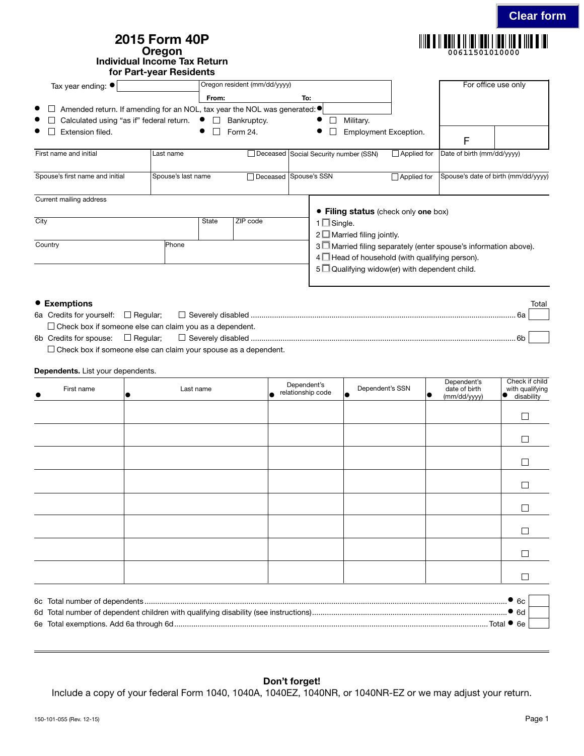| 2015 Form 40P                |
|------------------------------|
| Oregon                       |
| Individual Income Tax Return |
| for Part-year Residents      |

| Tax year ending: $\bullet$                                                                       |                    |           | Oregon resident (mm/dd/yyyy) |     |                     |                                       |                                                     | For office use only                                             |  |
|--------------------------------------------------------------------------------------------------|--------------------|-----------|------------------------------|-----|---------------------|---------------------------------------|-----------------------------------------------------|-----------------------------------------------------------------|--|
|                                                                                                  |                    | From:     |                              | To: |                     |                                       |                                                     |                                                                 |  |
| Amended return. If amending for an NOL, tax year the NOL was generated: $\bullet$<br>$\bullet$ 1 |                    |           |                              |     |                     |                                       |                                                     |                                                                 |  |
| Calculated using "as if" federal return.                                                         |                    | $\bullet$ | Bankruptcy.                  |     | $\bullet$           | Military.                             |                                                     |                                                                 |  |
| $\bullet$<br>Extension filed.                                                                    |                    |           | Form 24.                     |     | $\bullet$           | Employment Exception.                 |                                                     | F                                                               |  |
| First name and initial                                                                           | Last name          |           |                              |     |                     | Deceased Social Security number (SSN) | Applied for                                         | Date of birth (mm/dd/yyyy)                                      |  |
| Spouse's first name and initial                                                                  | Spouse's last name |           | Deceased Spouse's SSN        |     |                     |                                       | $\Box$ Applied for                                  | Spouse's date of birth (mm/dd/yyyy)                             |  |
| Current mailing address                                                                          |                    |           |                              |     |                     |                                       |                                                     |                                                                 |  |
|                                                                                                  |                    |           |                              |     |                     |                                       | • Filing status (check only one box)                |                                                                 |  |
| City                                                                                             |                    | State     | ZIP code                     |     | $1 \square$ Single. |                                       |                                                     |                                                                 |  |
|                                                                                                  |                    |           |                              |     |                     | $2 \Box$ Married filing jointly.      |                                                     |                                                                 |  |
| Country                                                                                          | Phone              |           |                              |     |                     |                                       |                                                     | 3 Married filing separately (enter spouse's information above). |  |
|                                                                                                  |                    |           |                              |     |                     |                                       | $4\Box$ Head of household (with qualifying person). |                                                                 |  |

| 5 Qualifying widow(er) with dependent child. |  |
|----------------------------------------------|--|
|                                              |  |

| • Exemptions |                                                                | Total |
|--------------|----------------------------------------------------------------|-------|
|              | 6а                                                             |       |
|              | $\Box$ Check box if someone else can claim you as a dependent. |       |
|              | 6h                                                             |       |
|              |                                                                |       |

 $\Box$  Check box if someone else can claim your spouse as a dependent.

## Dependents. List your dependents.

| First name | Last name | Dependent's<br>relationship code<br>۱o | Dependent's SSN<br>$\bullet$ | Dependent's<br>date of birth<br>lo<br>(mm/dd/yyyy) | Check if child<br>with qualifying<br>IO |
|------------|-----------|----------------------------------------|------------------------------|----------------------------------------------------|-----------------------------------------|
|            |           |                                        |                              |                                                    | $\Box$                                  |
|            |           |                                        |                              |                                                    | $\Box$                                  |
|            |           |                                        |                              |                                                    | $\Box$                                  |
|            |           |                                        |                              |                                                    | $\Box$                                  |
|            |           |                                        |                              |                                                    | $\Box$                                  |
|            |           |                                        |                              |                                                    | $\Box$                                  |
|            |           |                                        |                              |                                                    | $\Box$                                  |
|            |           |                                        |                              |                                                    | Г                                       |
|            |           |                                        |                              |                                                    |                                         |

|              | ა 6ი. |  |
|--------------|-------|--|
|              | ) 6d  |  |
| Total ● 6e i |       |  |

## Don't forget!

Include a copy of your federal Form 1040, 1040A, 1040EZ, 1040NR, or 1040NR-EZ or we may adjust your return.

**00611501010000**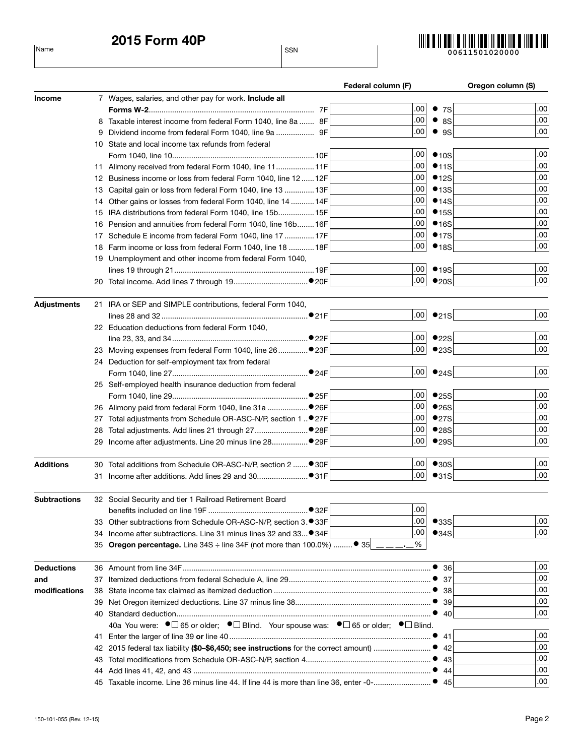2015 Form 40P

Name SSN



|                     |    |                                                                                                                                    | Federal column (F) |      | Oregon column (S) |
|---------------------|----|------------------------------------------------------------------------------------------------------------------------------------|--------------------|------|-------------------|
| <b>Income</b>       |    | 7 Wages, salaries, and other pay for work. Include all                                                                             |                    |      |                   |
|                     |    |                                                                                                                                    | .00 <sub>1</sub>   | • 7S | .00               |
|                     |    | 8 Taxable interest income from federal Form 1040, line 8a  8F                                                                      | .00 <sub>1</sub>   | • 8S | .00               |
|                     |    | 9 Dividend income from federal Form 1040, line 9a  9F                                                                              | .00 <sub>1</sub>   | • 9S | .00               |
|                     |    | 10 State and local income tax refunds from federal                                                                                 |                    |      |                   |
|                     |    |                                                                                                                                    | .00 <sub>1</sub>   | •10S | .00               |
|                     |    | 11 Alimony received from federal Form 1040, line 11 11F                                                                            | .00 <sub>1</sub>   | •11S | .00               |
|                     |    | 12 Business income or loss from federal Form 1040, line 12  12F                                                                    | .00 <sub>1</sub>   | •12S | .00               |
|                     |    | 13 Capital gain or loss from federal Form 1040, line 13  13F                                                                       | .00 <sub>1</sub>   | •13S | .00               |
|                     |    | 14 Other gains or losses from federal Form 1040, line 14  14F                                                                      | .00 <sub>1</sub>   | •14S | .00               |
|                     |    | 15 IRA distributions from federal Form 1040, line 15b 15F                                                                          | .00 <sub>1</sub>   | •15S | .00               |
|                     |    | 16 Pension and annuities from federal Form 1040, line 16b 16F                                                                      | .00 <sub>1</sub>   | •16S | .00               |
|                     |    | 17 Schedule E income from federal Form 1040, line 17  17F                                                                          | .00 <sub>1</sub>   | •17S | .00               |
|                     |    | 18 Farm income or loss from federal Form 1040, line 18  18F                                                                        | .00 <sub>1</sub>   | •18S | .00               |
|                     |    | 19 Unemployment and other income from federal Form 1040,                                                                           |                    |      |                   |
|                     |    |                                                                                                                                    | .00 <sub>1</sub>   | •19S | .00               |
|                     |    |                                                                                                                                    | .00 <sub>1</sub>   | •20S | .00               |
|                     |    |                                                                                                                                    |                    |      |                   |
| <b>Adjustments</b>  |    | 21 IRA or SEP and SIMPLE contributions, federal Form 1040,                                                                         |                    |      |                   |
|                     |    |                                                                                                                                    | .00 <sub>1</sub>   | •21S | .00               |
|                     |    | 22 Education deductions from federal Form 1040,                                                                                    |                    |      |                   |
|                     |    |                                                                                                                                    | .00 <sub>1</sub>   | •22S | .00               |
|                     |    |                                                                                                                                    | .00 <sub>1</sub>   | •23S | .00               |
|                     |    | 24 Deduction for self-employment tax from federal                                                                                  |                    |      |                   |
|                     |    |                                                                                                                                    | .00 <sub>1</sub>   | •24S | .00               |
|                     |    | 25 Self-employed health insurance deduction from federal                                                                           |                    |      |                   |
|                     |    |                                                                                                                                    | .00 <sub>1</sub>   | •25S | .00               |
|                     |    |                                                                                                                                    | .00 <sub>1</sub>   | •26S | .00               |
|                     |    | 27 Total adjustments from Schedule OR-ASC-N/P, section 1  ● 27F                                                                    | .00 <sub>1</sub>   | •27S | .00               |
|                     | 28 |                                                                                                                                    | .00 <sub>1</sub>   | •28S | .00               |
|                     |    | Income after adjustments. Line 20 minus line 28● 29F                                                                               | .00                | •29S | .00               |
|                     |    |                                                                                                                                    |                    |      |                   |
| <b>Additions</b>    |    | 30 Total additions from Schedule OR-ASC-N/P, section 2  ● 30F                                                                      | .00                | •30S | .00               |
|                     |    |                                                                                                                                    | .00                | •31S | .00               |
| <b>Subtractions</b> |    | 32 Social Security and tier 1 Railroad Retirement Board                                                                            |                    |      |                   |
|                     |    |                                                                                                                                    | .00                |      |                   |
|                     | 33 | Other subtractions from Schedule OR-ASC-N/P, section 3. ● 33F                                                                      | .00 <sub>1</sub>   | •33S | .00               |
|                     |    | 34 Income after subtractions. Line 31 minus lines 32 and 33 34F                                                                    | .00                | •34S | .00               |
|                     | 35 | <b>Oregon percentage.</b> Line 34S $\div$ line 34F (not more than 100.0%) $\bullet$ 35                                             | %                  |      |                   |
|                     |    |                                                                                                                                    |                    |      |                   |
| <b>Deductions</b>   |    |                                                                                                                                    |                    | • 36 | .00               |
| and                 | 37 |                                                                                                                                    |                    |      | .00               |
| modifications       | 38 |                                                                                                                                    |                    |      | .00               |
|                     | 39 |                                                                                                                                    |                    | 39   | .00               |
|                     |    |                                                                                                                                    |                    |      | .00               |
|                     |    | 40a You were: $\bullet \Box$ 65 or older; $\bullet \Box$ Blind. Your spouse was: $\bullet \Box$ 65 or older; $\bullet \Box$ Blind. |                    |      |                   |
|                     | 41 |                                                                                                                                    |                    | 41   | .00               |
|                     | 42 | 2015 federal tax liability (\$0-\$6,450; see instructions for the correct amount)                                                  |                    | 42   | .00               |
|                     | 43 |                                                                                                                                    |                    |      | .00               |
|                     | 44 |                                                                                                                                    |                    |      | .00               |
|                     |    |                                                                                                                                    |                    |      | .00               |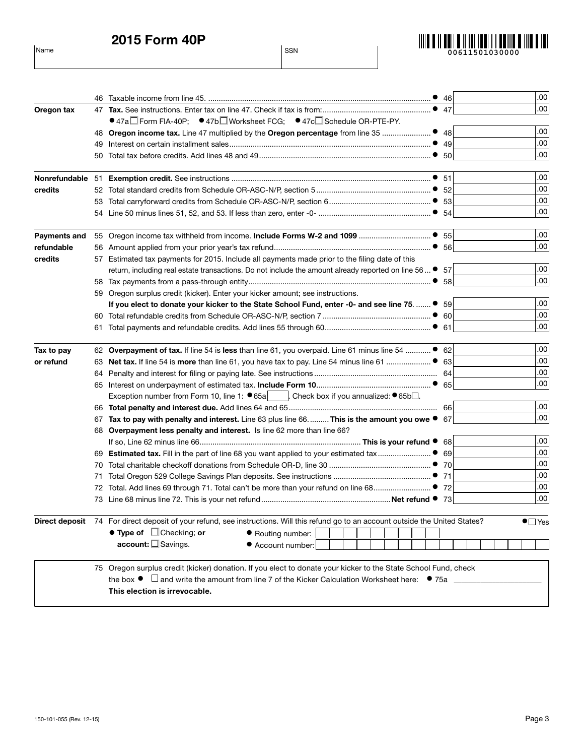2015 Form 40P

Name SSN



|                     |    |                                                                                                                                                                                                                                                                             | .00                  |
|---------------------|----|-----------------------------------------------------------------------------------------------------------------------------------------------------------------------------------------------------------------------------------------------------------------------------|----------------------|
| Oregon tax          | 47 |                                                                                                                                                                                                                                                                             | .00                  |
|                     |    | ● 47a $\Box$ Form FIA-40P; ● 47b $\Box$ Worksheet FCG; ● 47c $\Box$ Schedule OR-PTE-PY.                                                                                                                                                                                     |                      |
|                     |    | 48 Oregon income tax. Line 47 multiplied by the Oregon percentage from line 35<br>• 48                                                                                                                                                                                      | .00                  |
|                     |    |                                                                                                                                                                                                                                                                             | .00                  |
|                     | 49 |                                                                                                                                                                                                                                                                             | .00                  |
|                     | 50 |                                                                                                                                                                                                                                                                             |                      |
| Nonrefundable 51    |    | 51                                                                                                                                                                                                                                                                          | .00                  |
| credits             |    |                                                                                                                                                                                                                                                                             | .00                  |
|                     |    |                                                                                                                                                                                                                                                                             | .00                  |
|                     |    |                                                                                                                                                                                                                                                                             | .00                  |
| <b>Payments and</b> |    |                                                                                                                                                                                                                                                                             | .00                  |
| refundable          |    |                                                                                                                                                                                                                                                                             | .00                  |
| credits             |    | 57 Estimated tax payments for 2015. Include all payments made prior to the filing date of this                                                                                                                                                                              |                      |
|                     |    | return, including real estate transactions. Do not include the amount already reported on line 56  ●<br>-57                                                                                                                                                                 | .00                  |
|                     |    | 58                                                                                                                                                                                                                                                                          | .00                  |
|                     |    | 59 Oregon surplus credit (kicker). Enter your kicker amount; see instructions.                                                                                                                                                                                              |                      |
|                     |    | If you elect to donate your kicker to the State School Fund, enter -0- and see line 75.  ● 59                                                                                                                                                                               | .00                  |
|                     |    |                                                                                                                                                                                                                                                                             | .00                  |
|                     |    |                                                                                                                                                                                                                                                                             | .00                  |
| Tax to pay          |    | 62 Overpayment of tax. If line 54 is less than line 61, you overpaid. Line 61 minus line 54  ● 62                                                                                                                                                                           | .00                  |
| or refund           |    | 63 Net tax. If line 54 is more than line 61, you have tax to pay. Line 54 minus line 61 ● 63                                                                                                                                                                                | .00                  |
|                     |    |                                                                                                                                                                                                                                                                             | .00                  |
|                     |    | 65                                                                                                                                                                                                                                                                          | .00                  |
|                     |    | Exception number from Form 10, line 1: $\bullet$ 65a [case check box if you annualized: $\bullet$ 65b $\Box$ .                                                                                                                                                              |                      |
|                     |    |                                                                                                                                                                                                                                                                             | .00                  |
|                     | 67 | Tax to pay with penalty and interest. Line 63 plus line 66 This is the amount you owe ● 67                                                                                                                                                                                  | .00                  |
|                     |    | 68 Overpayment less penalty and interest. Is line 62 more than line 66?                                                                                                                                                                                                     |                      |
|                     |    | 68                                                                                                                                                                                                                                                                          | .00                  |
|                     |    | 69                                                                                                                                                                                                                                                                          | .00                  |
|                     | 70 | 70                                                                                                                                                                                                                                                                          | .00                  |
|                     | 71 | 71                                                                                                                                                                                                                                                                          | .00                  |
|                     | 72 | -72                                                                                                                                                                                                                                                                         | .00                  |
|                     |    | -73                                                                                                                                                                                                                                                                         | .00                  |
|                     |    | Direct deposit 74 For direct deposit of your refund, see instructions. Will this refund go to an account outside the United States?                                                                                                                                         | $\bullet$ $\Box$ Yes |
|                     |    | $\bullet$ Type of $\Box$ Checking; or<br>Routing number:                                                                                                                                                                                                                    |                      |
|                     |    | $account: \square Savings.$<br>Account number:                                                                                                                                                                                                                              |                      |
|                     |    | 75 Oregon surplus credit (kicker) donation. If you elect to donate your kicker to the State School Fund, check<br>the box $\bullet$ $\Box$ and write the amount from line 7 of the Kicker Calculation Worksheet here: $\bullet$ 75a $\Box$<br>This election is irrevocable. |                      |
|                     |    |                                                                                                                                                                                                                                                                             |                      |